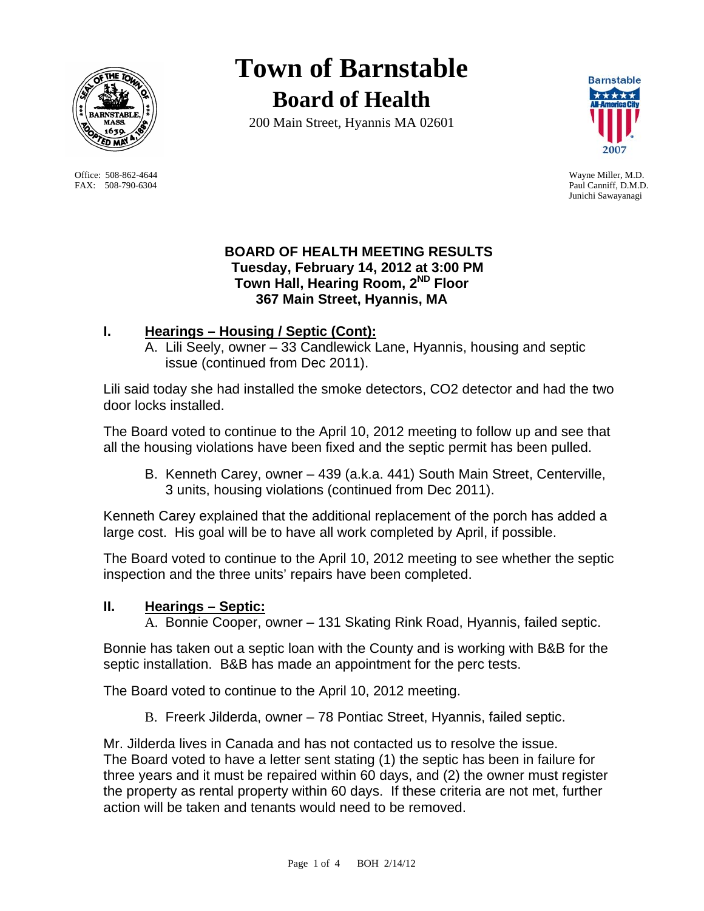

Office: 508-862-4644 Wayne Miller, M.D. FAX: 508-790-6304 Paul Canniff, D.M.D.

# **Town of Barnstable Board of Health**

200 Main Street, Hyannis MA 02601



Junichi Sawayanagi

# **BOARD OF HEALTH MEETING RESULTS Tuesday, February 14, 2012 at 3:00 PM Town Hall, Hearing Room, 2ND Floor 367 Main Street, Hyannis, MA**

# **I. Hearings – Housing / Septic (Cont):**

A. Lili Seely, owner – 33 Candlewick Lane, Hyannis, housing and septic issue (continued from Dec 2011).

Lili said today she had installed the smoke detectors, CO2 detector and had the two door locks installed.

The Board voted to continue to the April 10, 2012 meeting to follow up and see that all the housing violations have been fixed and the septic permit has been pulled.

B. Kenneth Carey, owner – 439 (a.k.a. 441) South Main Street, Centerville, 3 units, housing violations (continued from Dec 2011).

Kenneth Carey explained that the additional replacement of the porch has added a large cost. His goal will be to have all work completed by April, if possible.

The Board voted to continue to the April 10, 2012 meeting to see whether the septic inspection and the three units' repairs have been completed.

# **II. Hearings – Septic:**

A. Bonnie Cooper, owner – 131 Skating Rink Road, Hyannis, failed septic.

Bonnie has taken out a septic loan with the County and is working with B&B for the septic installation. B&B has made an appointment for the perc tests.

The Board voted to continue to the April 10, 2012 meeting.

B. Freerk Jilderda, owner – 78 Pontiac Street, Hyannis, failed septic.

Mr. Jilderda lives in Canada and has not contacted us to resolve the issue. The Board voted to have a letter sent stating (1) the septic has been in failure for three years and it must be repaired within 60 days, and (2) the owner must register the property as rental property within 60 days. If these criteria are not met, further action will be taken and tenants would need to be removed.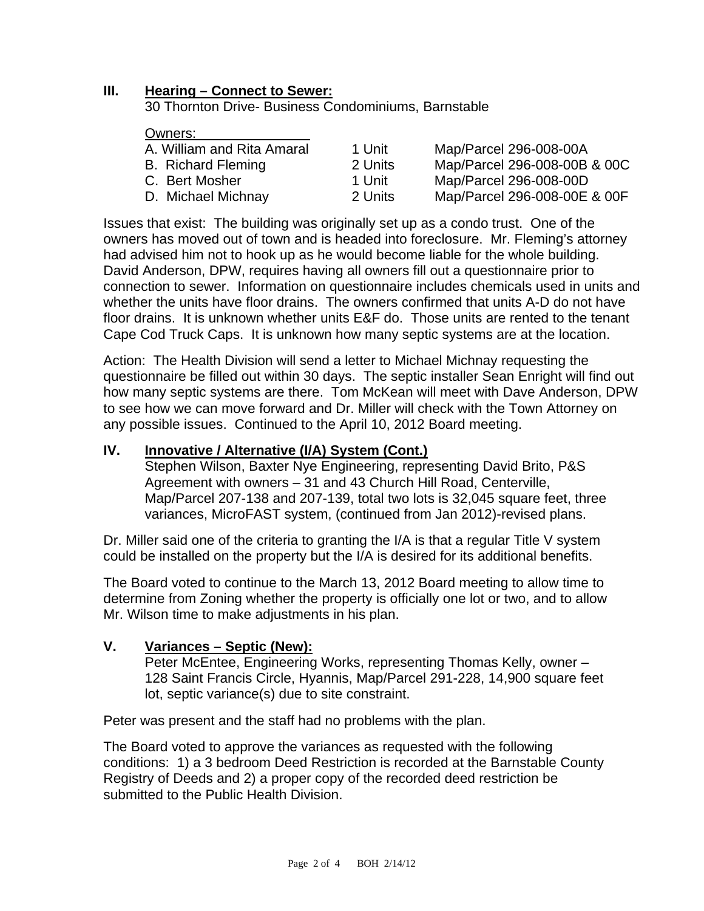## **III. Hearing – Connect to Sewer:**

30 Thornton Drive- Business Condominiums, Barnstable

#### Owners:

| A. William and Rita Amaral | 1 Unit  | Map/Parcel 296-008-00A       |
|----------------------------|---------|------------------------------|
| <b>B.</b> Richard Fleming  | 2 Units | Map/Parcel 296-008-00B & 00C |
| C. Bert Mosher             | 1 Unit  | Map/Parcel 296-008-00D       |
| D. Michael Michnay         | 2 Units | Map/Parcel 296-008-00E & 00F |
|                            |         |                              |

Issues that exist: The building was originally set up as a condo trust. One of the owners has moved out of town and is headed into foreclosure. Mr. Fleming's attorney had advised him not to hook up as he would become liable for the whole building. David Anderson, DPW, requires having all owners fill out a questionnaire prior to connection to sewer. Information on questionnaire includes chemicals used in units and whether the units have floor drains. The owners confirmed that units A-D do not have floor drains. It is unknown whether units E&F do. Those units are rented to the tenant Cape Cod Truck Caps. It is unknown how many septic systems are at the location.

Action: The Health Division will send a letter to Michael Michnay requesting the questionnaire be filled out within 30 days. The septic installer Sean Enright will find out how many septic systems are there. Tom McKean will meet with Dave Anderson, DPW to see how we can move forward and Dr. Miller will check with the Town Attorney on any possible issues. Continued to the April 10, 2012 Board meeting.

### **IV. Innovative / Alternative (I/A) System (Cont.)**

Stephen Wilson, Baxter Nye Engineering, representing David Brito, P&S Agreement with owners – 31 and 43 Church Hill Road, Centerville, Map/Parcel 207-138 and 207-139, total two lots is 32,045 square feet, three variances, MicroFAST system, (continued from Jan 2012)-revised plans.

Dr. Miller said one of the criteria to granting the I/A is that a regular Title V system could be installed on the property but the I/A is desired for its additional benefits.

The Board voted to continue to the March 13, 2012 Board meeting to allow time to determine from Zoning whether the property is officially one lot or two, and to allow Mr. Wilson time to make adjustments in his plan.

#### **V. Variances – Septic (New):**

Peter McEntee, Engineering Works, representing Thomas Kelly, owner – 128 Saint Francis Circle, Hyannis, Map/Parcel 291-228, 14,900 square feet lot, septic variance(s) due to site constraint.

Peter was present and the staff had no problems with the plan.

The Board voted to approve the variances as requested with the following conditions: 1) a 3 bedroom Deed Restriction is recorded at the Barnstable County Registry of Deeds and 2) a proper copy of the recorded deed restriction be submitted to the Public Health Division.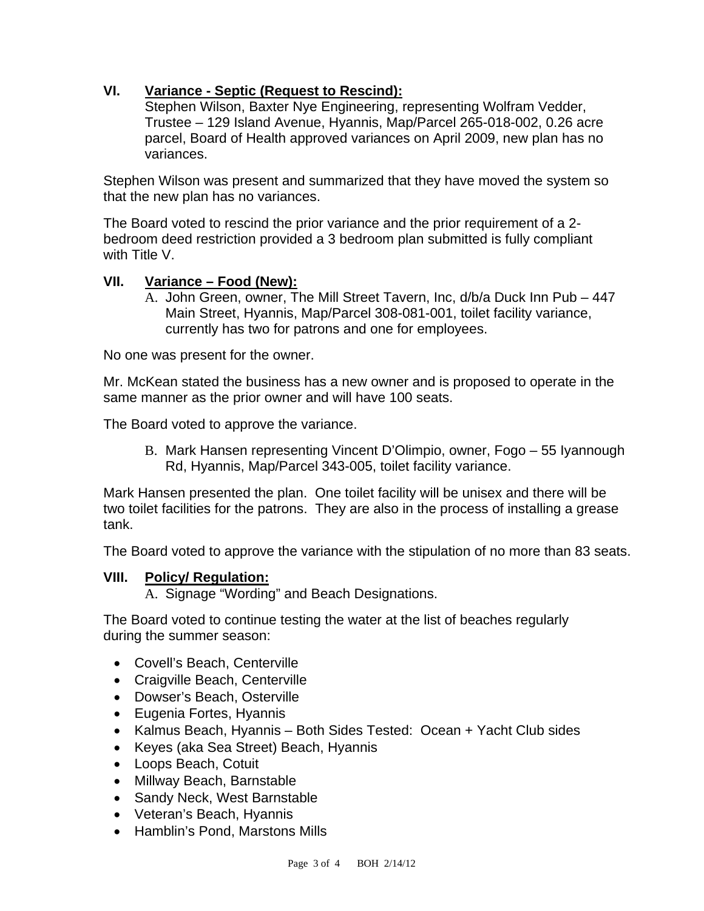# **VI. Variance - Septic (Request to Rescind):**

Stephen Wilson, Baxter Nye Engineering, representing Wolfram Vedder, Trustee – 129 Island Avenue, Hyannis, Map/Parcel 265-018-002, 0.26 acre parcel, Board of Health approved variances on April 2009, new plan has no variances.

Stephen Wilson was present and summarized that they have moved the system so that the new plan has no variances.

The Board voted to rescind the prior variance and the prior requirement of a 2 bedroom deed restriction provided a 3 bedroom plan submitted is fully compliant with Title V.

## **VII. Variance – Food (New):**

A. John Green, owner, The Mill Street Tavern, Inc, d/b/a Duck Inn Pub – 447 Main Street, Hyannis, Map/Parcel 308-081-001, toilet facility variance, currently has two for patrons and one for employees.

No one was present for the owner.

Mr. McKean stated the business has a new owner and is proposed to operate in the same manner as the prior owner and will have 100 seats.

The Board voted to approve the variance.

B. Mark Hansen representing Vincent D'Olimpio, owner, Fogo – 55 Iyannough Rd, Hyannis, Map/Parcel 343-005, toilet facility variance.

Mark Hansen presented the plan. One toilet facility will be unisex and there will be two toilet facilities for the patrons. They are also in the process of installing a grease tank.

The Board voted to approve the variance with the stipulation of no more than 83 seats.

## **VIII. Policy/ Regulation:**

A. Signage "Wording" and Beach Designations.

The Board voted to continue testing the water at the list of beaches regularly during the summer season:

- Covell's Beach, Centerville
- Craigville Beach, Centerville
- Dowser's Beach, Osterville
- Eugenia Fortes, Hyannis
- Kalmus Beach, Hyannis Both Sides Tested: Ocean + Yacht Club sides
- Keyes (aka Sea Street) Beach, Hyannis
- Loops Beach, Cotuit
- Millway Beach, Barnstable
- Sandy Neck, West Barnstable
- Veteran's Beach, Hyannis
- Hamblin's Pond, Marstons Mills